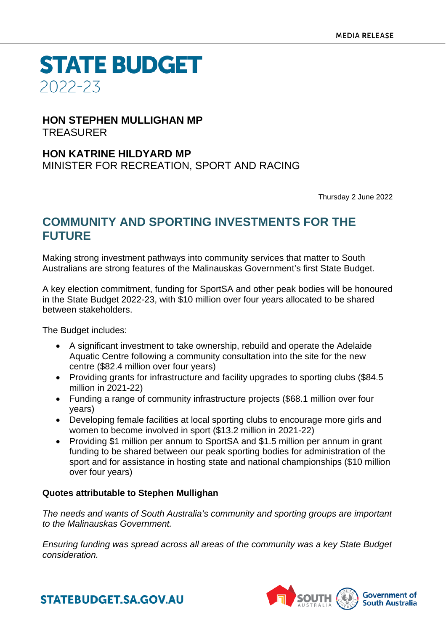**STATE BUDGET** 2022-23

#### **HON STEPHEN MULLIGHAN MP** TREASURER

### **HON KATRINE HILDYARD MP**

MINISTER FOR RECREATION, SPORT AND RACING

Thursday 2 June 2022

## **COMMUNITY AND SPORTING INVESTMENTS FOR THE FUTURE**

Making strong investment pathways into community services that matter to South Australians are strong features of the Malinauskas Government's first State Budget.

A key election commitment, funding for SportSA and other peak bodies will be honoured in the State Budget 2022-23, with \$10 million over four years allocated to be shared between stakeholders.

The Budget includes:

- A significant investment to take ownership, rebuild and operate the Adelaide Aquatic Centre following a community consultation into the site for the new centre (\$82.4 million over four years)
- Providing grants for infrastructure and facility upgrades to sporting clubs (\$84.5 million in 2021-22)
- Funding a range of community infrastructure projects (\$68.1 million over four years)
- Developing female facilities at local sporting clubs to encourage more girls and women to become involved in sport (\$13.2 million in 2021-22)
- Providing \$1 million per annum to SportSA and \$1.5 million per annum in grant funding to be shared between our peak sporting bodies for administration of the sport and for assistance in hosting state and national championships (\$10 million over four years)

#### **Quotes attributable to Stephen Mullighan**

*The needs and wants of South Australia's community and sporting groups are important to the Malinauskas Government.*

*Ensuring funding was spread across all areas of the community was a key State Budget consideration.*



**STATEBUDGET.SA.GOV.AU**